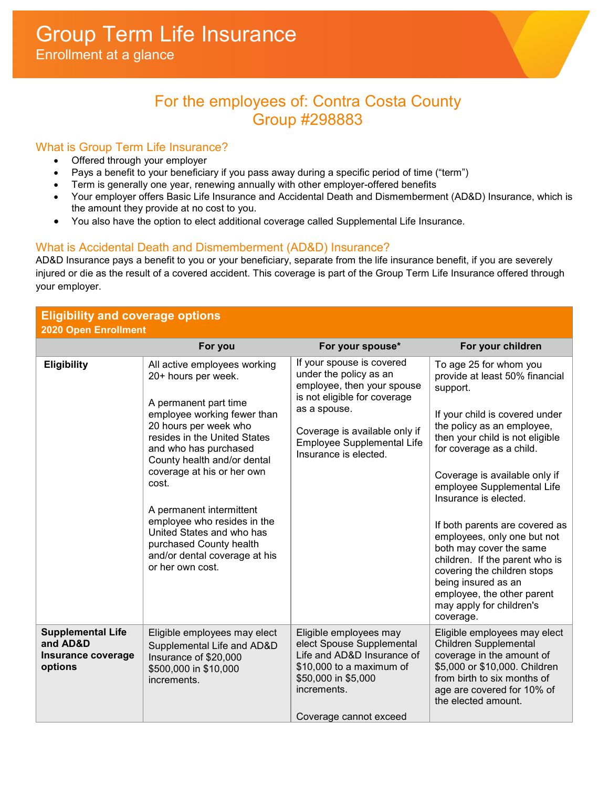# For the employees of: Contra Costa County Group #298883

## What is Group Term Life Insurance?

- Offered through your employer
- Pays a benefit to your beneficiary if you pass away during a specific period of time ("term")
- Term is generally one year, renewing annually with other employer-offered benefits
- Your employer offers Basic Life Insurance and Accidental Death and Dismemberment (AD&D) Insurance, which is the amount they provide at no cost to you.
- You also have the option to elect additional coverage called Supplemental Life Insurance.

## What is Accidental Death and Dismemberment (AD&D) Insurance?

AD&D Insurance pays a benefit to you or your beneficiary, separate from the life insurance benefit, if you are severely injured or die as the result of a covered accident. This coverage is part of the Group Term Life Insurance offered through your employer.

# **Eligibility and coverage options**

**2020 Open Enrollment For you For your spouse\* For your children Eligibility** All active employees working 20+ hours per week. A permanent part time employee working fewer than 20 hours per week who resides in the United States and who has purchased County health and/or dental coverage at his or her own cost. A permanent intermittent employee who resides in the United States and who has purchased County health and/or dental coverage at his or her own cost. If your spouse is covered under the policy as an employee, then your spouse is not eligible for coverage as a spouse. Coverage is available only if Employee Supplemental Life Insurance is elected. To age 25 for whom you provide at least 50% financial support. If your child is covered under the policy as an employee, then your child is not eligible for coverage as a child. Coverage is available only if employee Supplemental Life Insurance is elected. If both parents are covered as employees, only one but not both may cover the same children. If the parent who is covering the children stops being insured as an employee, the other parent may apply for children's coverage. **Supplemental Life and AD&D Insurance coverage options** Eligible employees may elect Supplemental Life and AD&D Insurance of \$20,000 \$500,000 in \$10,000 increments. Eligible employees may elect Spouse Supplemental Life and AD&D Insurance of \$10,000 to a maximum of \$50,000 in \$5,000 increments. Coverage cannot exceed Eligible employees may elect Children Supplemental coverage in the amount of \$5,000 or \$10,000. Children from birth to six months of age are covered for 10% of the elected amount.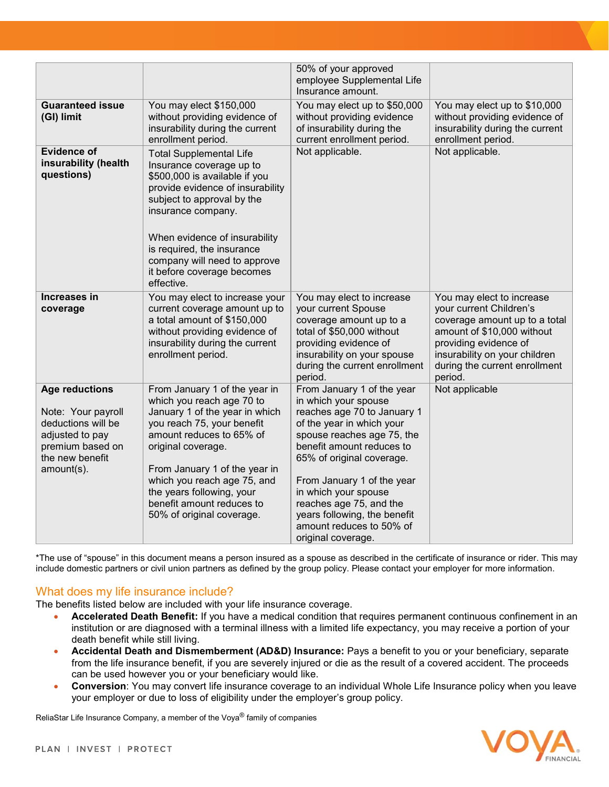|                                                                                                                                           |                                                                                                                                                                                                                                                                                                                                     | 50% of your approved<br>employee Supplemental Life<br>Insurance amount.                                                                                                                                                                                                                                                                                                   |                                                                                                                                                                                                                           |
|-------------------------------------------------------------------------------------------------------------------------------------------|-------------------------------------------------------------------------------------------------------------------------------------------------------------------------------------------------------------------------------------------------------------------------------------------------------------------------------------|---------------------------------------------------------------------------------------------------------------------------------------------------------------------------------------------------------------------------------------------------------------------------------------------------------------------------------------------------------------------------|---------------------------------------------------------------------------------------------------------------------------------------------------------------------------------------------------------------------------|
| <b>Guaranteed issue</b><br>(GI) limit                                                                                                     | You may elect \$150,000<br>without providing evidence of<br>insurability during the current<br>enrollment period.                                                                                                                                                                                                                   | You may elect up to \$50,000<br>without providing evidence<br>of insurability during the<br>current enrollment period.                                                                                                                                                                                                                                                    | You may elect up to \$10,000<br>without providing evidence of<br>insurability during the current<br>enrollment period.                                                                                                    |
| <b>Evidence of</b><br>insurability (health<br>questions)                                                                                  | <b>Total Supplemental Life</b><br>Insurance coverage up to<br>\$500,000 is available if you<br>provide evidence of insurability<br>subject to approval by the<br>insurance company.<br>When evidence of insurability<br>is required, the insurance<br>company will need to approve<br>it before coverage becomes<br>effective.      | Not applicable.                                                                                                                                                                                                                                                                                                                                                           | Not applicable.                                                                                                                                                                                                           |
| Increases in<br>coverage                                                                                                                  | You may elect to increase your<br>current coverage amount up to<br>a total amount of \$150,000<br>without providing evidence of<br>insurability during the current<br>enrollment period.                                                                                                                                            | You may elect to increase<br>your current Spouse<br>coverage amount up to a<br>total of \$50,000 without<br>providing evidence of<br>insurability on your spouse<br>during the current enrollment<br>period.                                                                                                                                                              | You may elect to increase<br>your current Children's<br>coverage amount up to a total<br>amount of \$10,000 without<br>providing evidence of<br>insurability on your children<br>during the current enrollment<br>period. |
| <b>Age reductions</b><br>Note: Your payroll<br>deductions will be<br>adjusted to pay<br>premium based on<br>the new benefit<br>amount(s). | From January 1 of the year in<br>which you reach age 70 to<br>January 1 of the year in which<br>you reach 75, your benefit<br>amount reduces to 65% of<br>original coverage.<br>From January 1 of the year in<br>which you reach age 75, and<br>the years following, your<br>benefit amount reduces to<br>50% of original coverage. | From January 1 of the year<br>in which your spouse<br>reaches age 70 to January 1<br>of the year in which your<br>spouse reaches age 75, the<br>benefit amount reduces to<br>65% of original coverage.<br>From January 1 of the year<br>in which your spouse<br>reaches age 75, and the<br>years following, the benefit<br>amount reduces to 50% of<br>original coverage. | Not applicable                                                                                                                                                                                                            |

\*The use of "spouse" in this document means a person insured as a spouse as described in the certificate of insurance or rider. This may include domestic partners or civil union partners as defined by the group policy. Please contact your employer for more information.

What does my life insurance include?<br>The benefits listed below are included with your life insurance coverage.

- **Accelerated Death Benefit:** If you have a medical condition that requires permanent continuous confinement in an institution or are diagnosed with a terminal illness with a limited life expectancy, you may receive a portion of your death benefit while still living.
- **Accidental Death and Dismemberment (AD&D) Insurance:** Pays a benefit to you or your beneficiary, separate from the life insurance benefit, if you are severely injured or die as the result of a covered accident. The proceeds can be used however you or your beneficiary would like.
- **Conversion**: You may convert life insurance coverage to an individual Whole Life Insurance policy when you leave your employer or due to loss of eligibility under the employer's group policy.

ReliaStar Life Insurance Company, a member of the Voya® family of companies

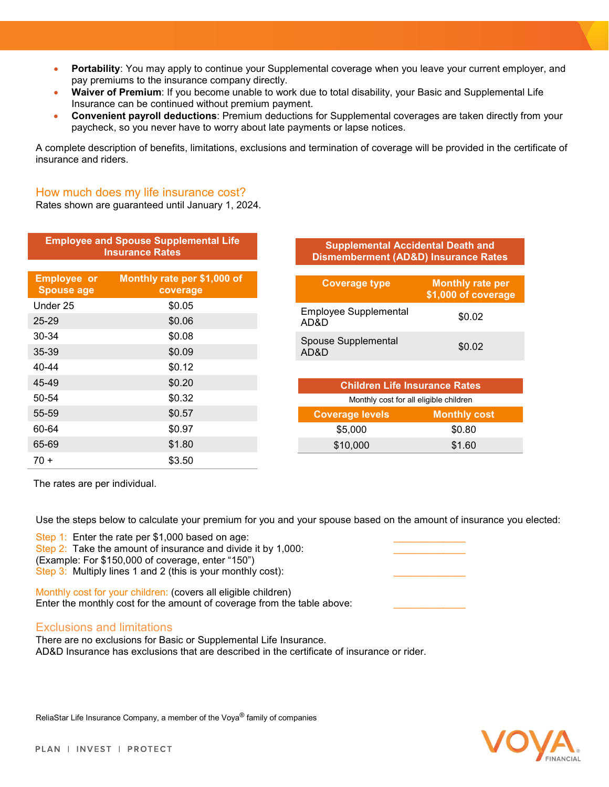- **Portability**: You may apply to continue your Supplemental coverage when you leave your current employer, and pay premiums to the insurance company directly.
- **Waiver of Premium**: If you become unable to work due to total disability, your Basic and Supplemental Life Insurance can be continued without premium payment.
- **Convenient payroll deductions**: Premium deductions for Supplemental coverages are taken directly from your paycheck, so you never have to worry about late payments or lapse notices.

A complete description of benefits, limitations, exclusions and termination of coverage will be provided in the certificate of insurance and riders.

### How much does my life insurance cost?

Rates shown are guaranteed until January 1, 2024.

| <b>Employee and Spouse Supplemental Life</b><br><b>Insurance Rates</b> |                                         |
|------------------------------------------------------------------------|-----------------------------------------|
| <b>Employee or</b><br><b>Spouse age</b>                                | Monthly rate per \$1,000 of<br>coverage |
| Under 25                                                               | \$0.05                                  |
| $25 - 29$                                                              | \$0.06                                  |
| 30-34                                                                  | \$0.08                                  |
| 35-39                                                                  | \$0.09                                  |
| 40-44                                                                  | \$0.12                                  |
| 45-49                                                                  | \$0.20                                  |
| 50-54                                                                  | \$0.32                                  |
| 55-59                                                                  | \$0.57                                  |
| 60-64                                                                  | \$0.97                                  |
| 65-69                                                                  | \$1.80                                  |

The rates are per individual.

 $70 +$  \$3.50

Use the steps below to calculate your premium for you and your spouse based on the amount of insurance you elected:

Step 1: Enter the rate per \$1,000 based on age: Step 2: Take the amount of insurance and divide it by 1,000: (Example: For \$150,000 of coverage, enter "150") Step 3: Multiply lines 1 and 2 (this is your monthly cost):

Monthly cost for your children: (covers all eligible children) Enter the monthly cost for the amount of coverage from the table above:

### Exclusions and limitations

There are no exclusions for Basic or Supplemental Life Insurance. AD&D Insurance has exclusions that are described in the certificate of insurance or rider.

VOVA